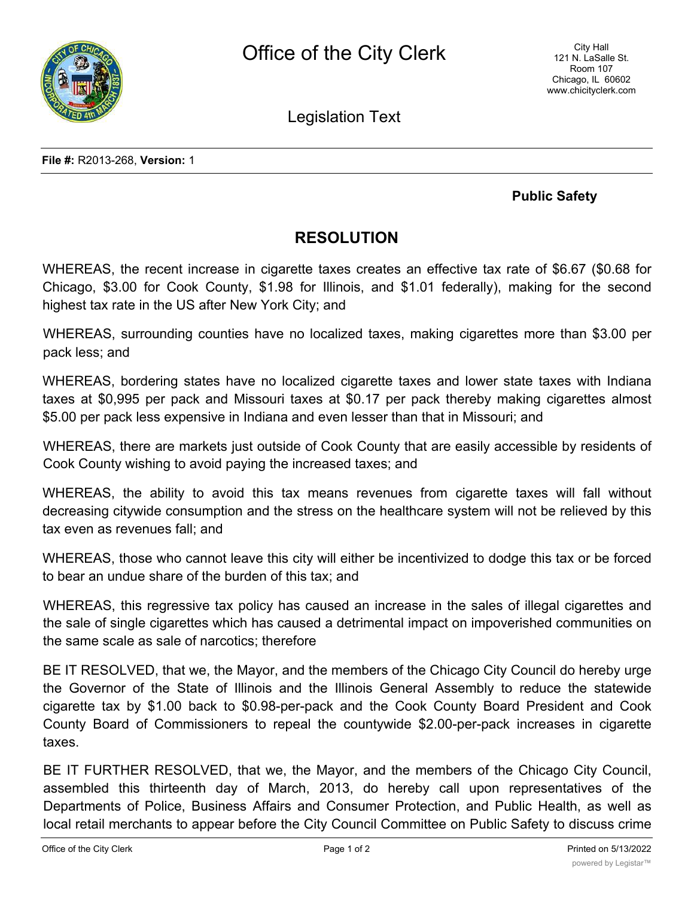

Legislation Text

## **Public Safety**

## **RESOLUTION**

WHEREAS, the recent increase in cigarette taxes creates an effective tax rate of \$6.67 (\$0.68 for Chicago, \$3.00 for Cook County, \$1.98 for Illinois, and \$1.01 federally), making for the second highest tax rate in the US after New York City; and

WHEREAS, surrounding counties have no localized taxes, making cigarettes more than \$3.00 per pack less; and

WHEREAS, bordering states have no localized cigarette taxes and lower state taxes with Indiana taxes at \$0,995 per pack and Missouri taxes at \$0.17 per pack thereby making cigarettes almost \$5.00 per pack less expensive in Indiana and even lesser than that in Missouri; and

WHEREAS, there are markets just outside of Cook County that are easily accessible by residents of Cook County wishing to avoid paying the increased taxes; and

WHEREAS, the ability to avoid this tax means revenues from cigarette taxes will fall without decreasing citywide consumption and the stress on the healthcare system will not be relieved by this tax even as revenues fall; and

WHEREAS, those who cannot leave this city will either be incentivized to dodge this tax or be forced to bear an undue share of the burden of this tax; and

WHEREAS, this regressive tax policy has caused an increase in the sales of illegal cigarettes and the sale of single cigarettes which has caused a detrimental impact on impoverished communities on the same scale as sale of narcotics; therefore

BE IT RESOLVED, that we, the Mayor, and the members of the Chicago City Council do hereby urge the Governor of the State of Illinois and the Illinois General Assembly to reduce the statewide cigarette tax by \$1.00 back to \$0.98-per-pack and the Cook County Board President and Cook County Board of Commissioners to repeal the countywide \$2.00-per-pack increases in cigarette taxes.

BE IT FURTHER RESOLVED, that we, the Mayor, and the members of the Chicago City Council, assembled this thirteenth day of March, 2013, do hereby call upon representatives of the Departments of Police, Business Affairs and Consumer Protection, and Public Health, as well as local retail merchants to appear before the City Council Committee on Public Safety to discuss crime